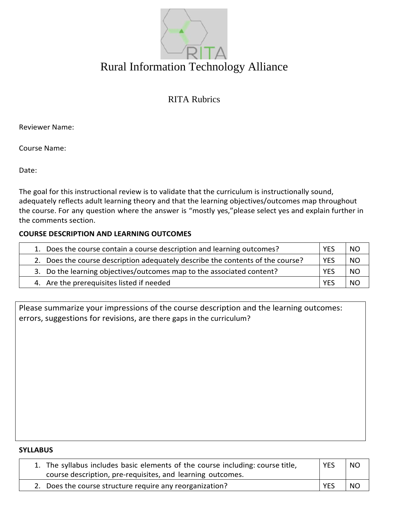

# Rural Information Technology Alliance

RITA Rubrics

Reviewer Name:

Course Name:

Date:

The goal for this instructional review is to validate that the curriculum is instructionally sound, adequately reflects adult learning theory and that the learning objectives/outcomes map throughout the course. For any question where the answer is "mostly yes,"please select yes and explain further in the comments section.

## **COURSE DESCRIPTION AND LEARNING OUTCOMES**

| 1. Does the course contain a course description and learning outcomes?         | <b>YES</b> | <b>NO</b> |
|--------------------------------------------------------------------------------|------------|-----------|
| 2. Does the course description adequately describe the contents of the course? | <b>YES</b> | <b>NO</b> |
| 3. Do the learning objectives/outcomes map to the associated content?          | <b>YES</b> | <b>NO</b> |
| 4. Are the prerequisites listed if needed                                      | <b>YES</b> | NO        |

Please summarize your impressions of the course description and the learning outcomes: errors, suggestions for revisions, are there gaps in the curriculum?

#### **SYLLABUS**

| 1. The syllabus includes basic elements of the course including: course title,<br>course description, pre-requisites, and learning outcomes. | <b>YES</b> | <b>NO</b> |
|----------------------------------------------------------------------------------------------------------------------------------------------|------------|-----------|
| 2. Does the course structure require any reorganization?                                                                                     | <b>YES</b> | NO.       |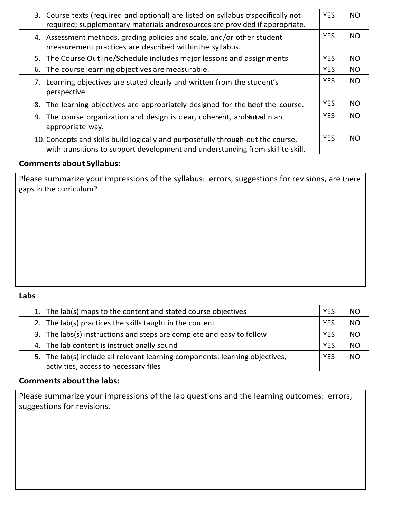|                                                                                                                                    | 3. Course texts (required and optional) are listed on syllabus or specifically not<br>required; supplementary materials andresources are provided if appropriate.  | <b>YES</b> | <b>NO</b> |
|------------------------------------------------------------------------------------------------------------------------------------|--------------------------------------------------------------------------------------------------------------------------------------------------------------------|------------|-----------|
| 4. Assessment methods, grading policies and scale, and/or other student<br>measurement practices are described withinthe syllabus. |                                                                                                                                                                    | <b>YES</b> | <b>NO</b> |
| 5. The Course Outline/Schedule includes major lessons and assignments                                                              |                                                                                                                                                                    | <b>YES</b> | <b>NO</b> |
| 6. The course learning objectives are measurable.                                                                                  |                                                                                                                                                                    | <b>YES</b> | <b>NO</b> |
| 7. Learning objectives are stated clearly and written from the student's<br>perspective                                            |                                                                                                                                                                    | <b>YES</b> | <b>NO</b> |
|                                                                                                                                    | 8. The learning objectives are appropriately designed for the bed the course.                                                                                      | <b>YES</b> | <b>NO</b> |
| The course organization and design is clear, coherent, and studured in an<br>9.<br>appropriate way.                                |                                                                                                                                                                    | <b>YES</b> | <b>NO</b> |
|                                                                                                                                    | 10. Concepts and skills build logically and purposefully through-out the course,<br>with transitions to support development and understanding from skill to skill. | <b>YES</b> | NO.       |

# **Comments about Syllabus:**

Please summarize your impressions of the syllabus: errors, suggestions for revisions, are there gaps in the curriculum?

## **Labs**

| 1. The lab(s) maps to the content and stated course objectives               |            | NΟ        |
|------------------------------------------------------------------------------|------------|-----------|
| 2. The lab(s) practices the skills taught in the content                     |            | <b>NO</b> |
| 3. The labs(s) instructions and steps are complete and easy to follow        |            | <b>NO</b> |
| 4. The lab content is instructionally sound                                  | <b>YES</b> | <b>NO</b> |
| 5. The lab(s) include all relevant learning components: learning objectives, | <b>YES</b> | NO        |
| activities, access to necessary files                                        |            |           |

# **Comments aboutthe labs:**

Please summarize your impressions of the lab questions and the learning outcomes: errors, suggestions for revisions,